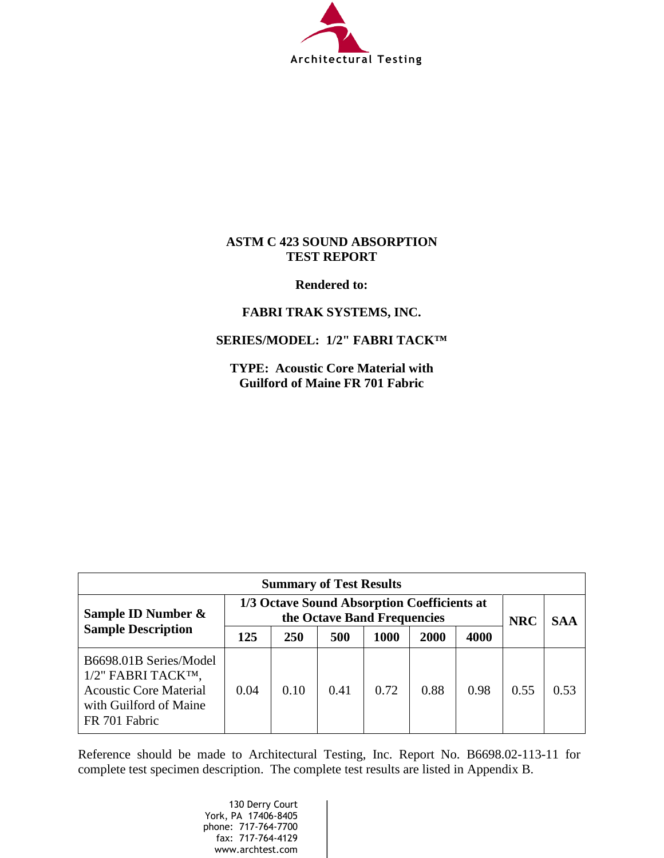

## **ASTM C 423 SOUND ABSORPTION TEST REPORT**

**Rendered to:**

## **FABRI TRAK SYSTEMS, INC.**

## **SERIES/MODEL: 1/2" FABRI TACK™**

**TYPE: Acoustic Core Material with Guilford of Maine FR 701 Fabric**

| <b>Summary of Test Results</b>                                                                                           |                                                                            |            |      |      |      |            |            |      |
|--------------------------------------------------------------------------------------------------------------------------|----------------------------------------------------------------------------|------------|------|------|------|------------|------------|------|
| Sample ID Number &<br><b>Sample Description</b>                                                                          | 1/3 Octave Sound Absorption Coefficients at<br>the Octave Band Frequencies |            |      |      |      | <b>NRC</b> | <b>SAA</b> |      |
|                                                                                                                          | 125                                                                        | <b>250</b> | 500  | 1000 | 2000 | 4000       |            |      |
| B6698.01B Series/Model<br>1/2" FABRI TACKTM,<br><b>Acoustic Core Material</b><br>with Guilford of Maine<br>FR 701 Fabric | 0.04                                                                       | 0.10       | 0.41 | 0.72 | 0.88 | 0.98       | 0.55       | 0.53 |

Reference should be made to Architectural Testing, Inc. Report No. B6698.02-113-11 for complete test specimen description. The complete test results are listed in Appendix B.

> 130 Derry Court York, PA 17406-8405 phone: 717-764-7700 fax: 717-764-4129 www.archtest.com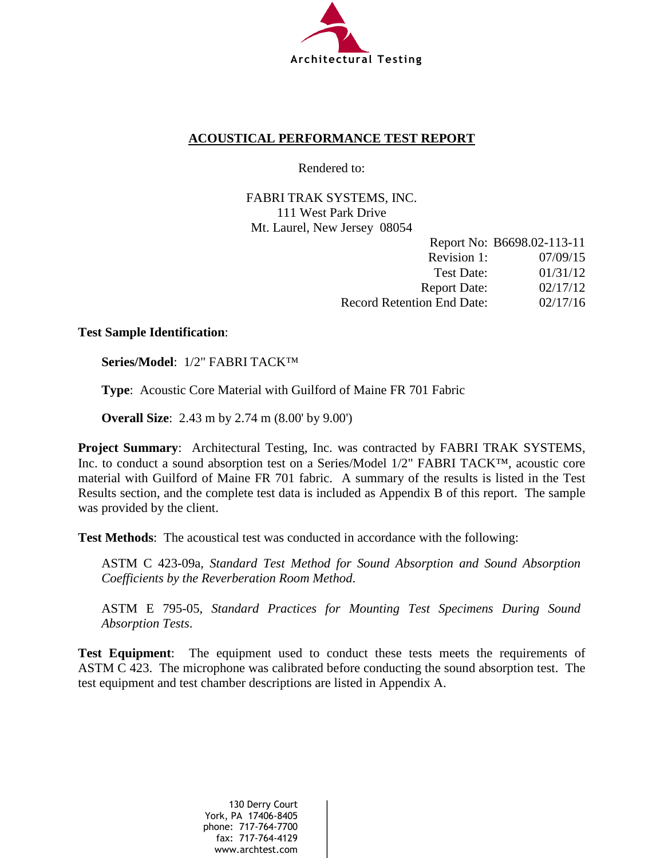

## **ACOUSTICAL PERFORMANCE TEST REPORT**

Rendered to:

FABRI TRAK SYSTEMS, INC. 111 West Park Drive Mt. Laurel, New Jersey 08054

|                                   | Report No: B6698.02-113-11 |
|-----------------------------------|----------------------------|
| Revision 1:                       | 07/09/15                   |
| Test Date:                        | 01/31/12                   |
| <b>Report Date:</b>               | 02/17/12                   |
| <b>Record Retention End Date:</b> | 02/17/16                   |

## **Test Sample Identification**:

**Series/Model**: 1/2" FABRI TACK™

**Type**: Acoustic Core Material with Guilford of Maine FR 701 Fabric

**Overall Size**: 2.43 m by 2.74 m (8.00' by 9.00')

**Project Summary**: Architectural Testing, Inc. was contracted by FABRI TRAK SYSTEMS, Inc. to conduct a sound absorption test on a Series/Model 1/2" FABRI TACK™, acoustic core material with Guilford of Maine FR 701 fabric. A summary of the results is listed in the Test Results section, and the complete test data is included as Appendix B of this report. The sample was provided by the client.

**Test Methods**: The acoustical test was conducted in accordance with the following:

ASTM C 423-09a, *Standard Test Method for Sound Absorption and Sound Absorption Coefficients by the Reverberation Room Method*.

ASTM E 795-05, *Standard Practices for Mounting Test Specimens During Sound Absorption Tests*.

**Test Equipment**: The equipment used to conduct these tests meets the requirements of ASTM C 423. The microphone was calibrated before conducting the sound absorption test. The test equipment and test chamber descriptions are listed in Appendix A.

> 130 Derry Court York, PA 17406-8405 phone: 717-764-7700 fax: 717-764-4129 www.archtest.com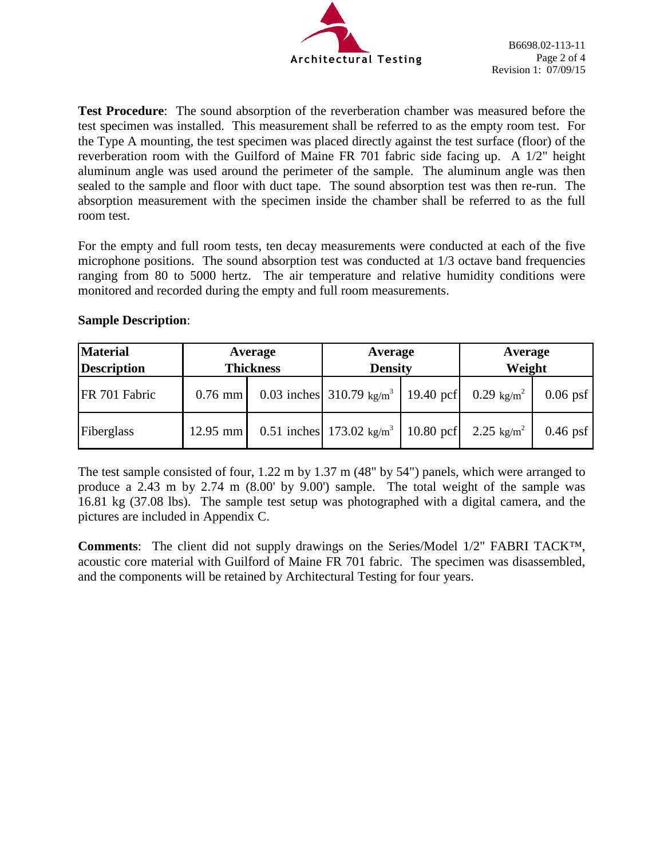

**Test Procedure**: The sound absorption of the reverberation chamber was measured before the test specimen was installed. This measurement shall be referred to as the empty room test. For the Type A mounting, the test specimen was placed directly against the test surface (floor) of the reverberation room with the Guilford of Maine FR 701 fabric side facing up. A 1/2" height aluminum angle was used around the perimeter of the sample. The aluminum angle was then sealed to the sample and floor with duct tape. The sound absorption test was then re-run. The absorption measurement with the specimen inside the chamber shall be referred to as the full room test.

For the empty and full room tests, ten decay measurements were conducted at each of the five microphone positions. The sound absorption test was conducted at 1/3 octave band frequencies ranging from 80 to 5000 hertz. The air temperature and relative humidity conditions were monitored and recorded during the empty and full room measurements.

| <b>Material</b><br>Description | Average<br><b>Thickness</b> |  | Average<br><b>Density</b>                                                 |             | Average<br>Weight      |            |
|--------------------------------|-----------------------------|--|---------------------------------------------------------------------------|-------------|------------------------|------------|
| FR 701 Fabric                  | $0.76$ mm                   |  | 0.03 inches 310.79 kg/m <sup>3</sup>   19.40 pcf   0.29 kg/m <sup>2</sup> |             |                        | $0.06$ psf |
| Fiberglass                     | $12.95$ mm                  |  | 0.51 inches 173.02 $\text{kg/m}^3$                                        | $10.80$ pcf | 2.25 kg/m <sup>2</sup> | $0.46$ psf |

## **Sample Description**:

The test sample consisted of four, 1.22 m by 1.37 m (48" by 54") panels, which were arranged to produce a 2.43 m by 2.74 m (8.00' by 9.00') sample. The total weight of the sample was 16.81 kg (37.08 lbs). The sample test setup was photographed with a digital camera, and the pictures are included in Appendix C.

**Comments**: The client did not supply drawings on the Series/Model 1/2" FABRI TACK™, acoustic core material with Guilford of Maine FR 701 fabric. The specimen was disassembled, and the components will be retained by Architectural Testing for four years.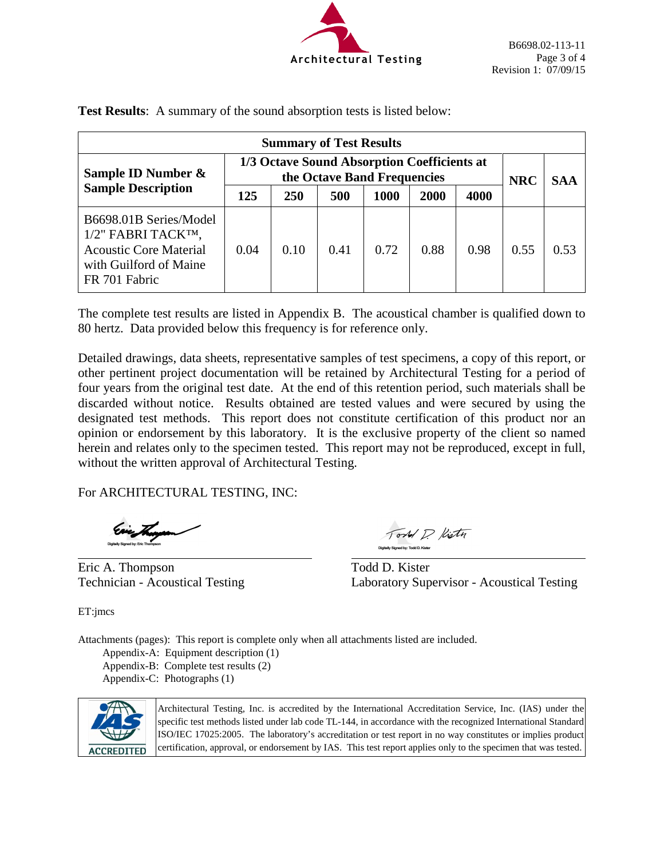

| <b>Summary of Test Results</b>                                                                                           |                                                                            |            |      |      |      |            |            |      |
|--------------------------------------------------------------------------------------------------------------------------|----------------------------------------------------------------------------|------------|------|------|------|------------|------------|------|
| Sample ID Number &<br><b>Sample Description</b>                                                                          | 1/3 Octave Sound Absorption Coefficients at<br>the Octave Band Frequencies |            |      |      |      | <b>NRC</b> | <b>SAA</b> |      |
|                                                                                                                          | 125                                                                        | <b>250</b> | 500  | 1000 | 2000 | 4000       |            |      |
| B6698.01B Series/Model<br>1/2" FABRI TACKTM,<br><b>Acoustic Core Material</b><br>with Guilford of Maine<br>FR 701 Fabric | 0.04                                                                       | 0.10       | 0.41 | 0.72 | 0.88 | 0.98       | 0.55       | 0.53 |

**Test Results**: A summary of the sound absorption tests is listed below:

The complete test results are listed in Appendix B. The acoustical chamber is qualified down to 80 hertz. Data provided below this frequency is for reference only.

Detailed drawings, data sheets, representative samples of test specimens, a copy of this report, or other pertinent project documentation will be retained by Architectural Testing for a period of four years from the original test date. At the end of this retention period, such materials shall be discarded without notice. Results obtained are tested values and were secured by using the designated test methods. This report does not constitute certification of this product nor an opinion or endorsement by this laboratory. It is the exclusive property of the client so named herein and relates only to the specimen tested. This report may not be reproduced, except in full, without the written approval of Architectural Testing.

For ARCHITECTURAL TESTING, INC:

Eric A. Thompson Todd D. Kister

Tord D. Kisty Digitally Signed by: Todd D. Kister

Technician - Acoustical Testing Laboratory Supervisor - Acoustical Testing

ET:jmcs

Attachments (pages): This report is complete only when all attachments listed are included. Appendix-A: Equipment description (1) Appendix-B: Complete test results (2) Appendix-C: Photographs (1)



Architectural Testing, Inc. is accredited by the International Accreditation Service, Inc. (IAS) under the specific test methods listed under lab code TL-144, in accordance with the recognized International Standard ISO/IEC 17025:2005. The laboratory's accreditation or test report in no way constitutes or implies product certification, approval, or endorsement by IAS. This test report applies only to the specimen that was tested.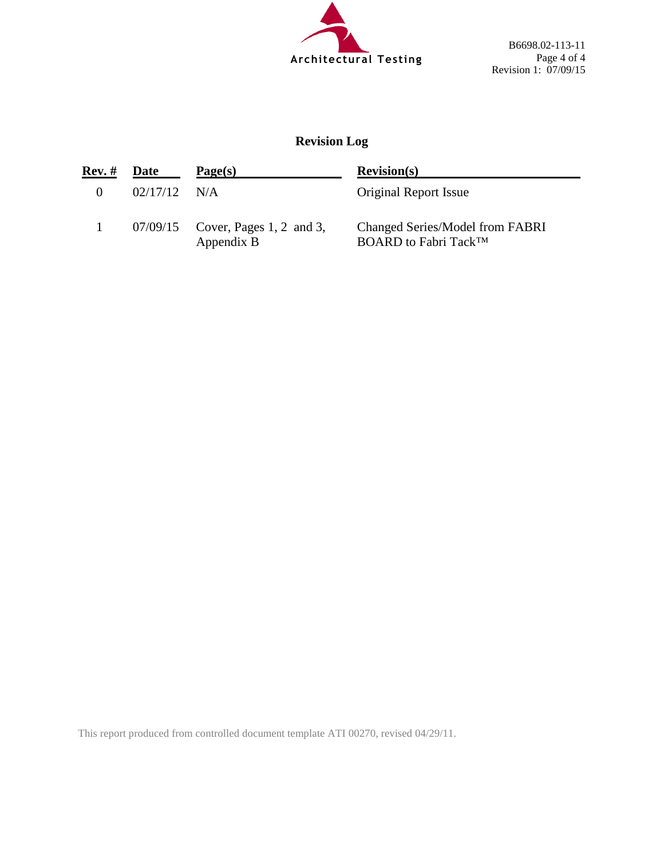

B6698.02-113-11 Page 4 of 4 Revision 1: 07/09/15

# **Revision Log**

| Rev. #   | Date           | Page(s)                                           | Revision(s)                                                          |
|----------|----------------|---------------------------------------------------|----------------------------------------------------------------------|
| $\theta$ | $02/17/12$ N/A |                                                   | Original Report Issue                                                |
|          |                | $07/09/15$ Cover, Pages 1, 2 and 3,<br>Appendix B | Changed Series/Model from FABRI<br>BOARD to Fabri Tack <sup>TM</sup> |

This report produced from controlled document template ATI 00270, revised 04/29/11.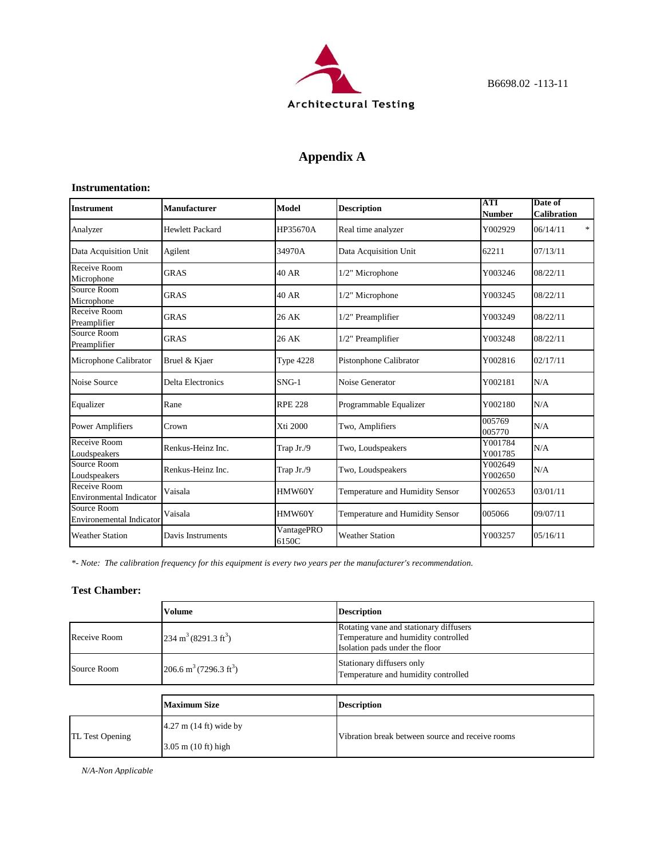

# **Appendix A**

#### **Instrumentation:**

| <b>Instrument</b>                              | <b>Manufacturer</b>      | <b>Model</b>        | <b>Description</b>              | <b>ATI</b><br><b>Number</b> | Date of<br><b>Calibration</b> |
|------------------------------------------------|--------------------------|---------------------|---------------------------------|-----------------------------|-------------------------------|
| Analyzer                                       | <b>Hewlett Packard</b>   | HP35670A            | Real time analyzer              | Y002929                     | *<br>06/14/11                 |
| Data Acquisition Unit                          | Agilent                  | 34970A              | Data Acquisition Unit           | 62211                       | 07/13/11                      |
| Receive Room<br>Microphone                     | <b>GRAS</b>              | 40 AR               | 1/2" Microphone                 | Y003246                     | 08/22/11                      |
| Source Room<br>Microphone                      | <b>GRAS</b>              | 40 AR               | 1/2" Microphone                 | Y003245                     | 08/22/11                      |
| Receive Room<br>Preamplifier                   | <b>GRAS</b>              | 26 AK               | 1/2" Preamplifier               | Y003249                     | 08/22/11                      |
| Source Room<br>Preamplifier                    | <b>GRAS</b>              | 26 AK               | 1/2" Preamplifier               | Y003248                     | 08/22/11                      |
| Microphone Calibrator                          | Bruel & Kjaer            | <b>Type 4228</b>    | Pistonphone Calibrator          | Y002816                     | 02/17/11                      |
| Noise Source                                   | <b>Delta Electronics</b> | $SNG-1$             | Noise Generator                 | Y002181                     | N/A                           |
| Equalizer                                      | Rane                     | <b>RPE 228</b>      | Programmable Equalizer          | Y002180                     | N/A                           |
| <b>Power Amplifiers</b>                        | Crown                    | Xti 2000            | Two, Amplifiers                 | 005769<br>005770            | N/A                           |
| Receive Room<br>Loudspeakers                   | Renkus-Heinz Inc.        | Trap Jr./9          | Two, Loudspeakers               | Y001784<br>Y001785          | N/A                           |
| Source Room<br>Loudspeakers                    | Renkus-Heinz Inc.        | Trap Jr./9          | Two, Loudspeakers               | Y002649<br>Y002650          | N/A                           |
| Receive Room<br><b>Environmental Indicator</b> | Vaisala                  | HMW60Y              | Temperature and Humidity Sensor | Y002653                     | 03/01/11                      |
| Source Room<br><b>Environemental Indicator</b> | Vaisala                  | HMW60Y              | Temperature and Humidity Sensor | 005066                      | 09/07/11                      |
| <b>Weather Station</b>                         | Davis Instruments        | VantagePRO<br>6150C | <b>Weather Station</b>          | Y003257                     | 05/16/11                      |

*\*- Note: The calibration frequency for this equipment is every two years per the manufacturer's recommendation.*

### **Test Chamber:**

|                 | <b>Volume</b>                                  | <b>Description</b>                                                                                              |
|-----------------|------------------------------------------------|-----------------------------------------------------------------------------------------------------------------|
| Receive Room    | $234 \text{ m}^3 (8291.3 \text{ ft}^3)$        | Rotating vane and stationary diffusers<br>Temperature and humidity controlled<br>Isolation pads under the floor |
| Source Room     | 206.6 m <sup>3</sup> (7296.3 ft <sup>3</sup> ) | Stationary diffusers only<br>Temperature and humidity controlled                                                |
|                 |                                                |                                                                                                                 |
|                 | <b>Maximum Size</b>                            | <b>Description</b>                                                                                              |
| TL Test Opening | $4.27$ m $(14 \text{ ft})$ wide by             | Vibration break between source and receive rooms                                                                |
|                 | $3.05$ m $(10 \text{ ft})$ high                |                                                                                                                 |

*N/A-Non Applicable*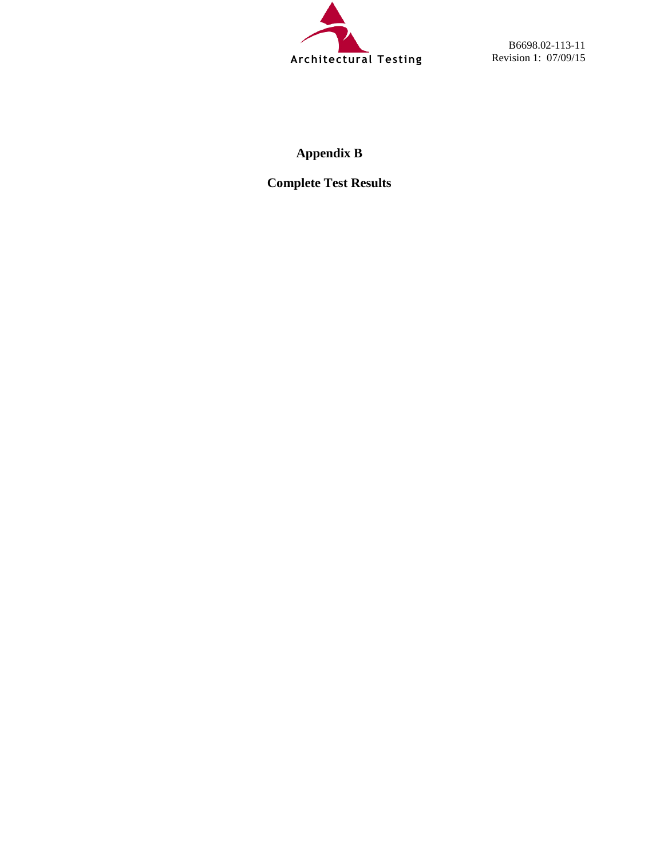

B6698.02-113-11 Revision 1: 07/09/15

# **Appendix B**

**Complete Test Results**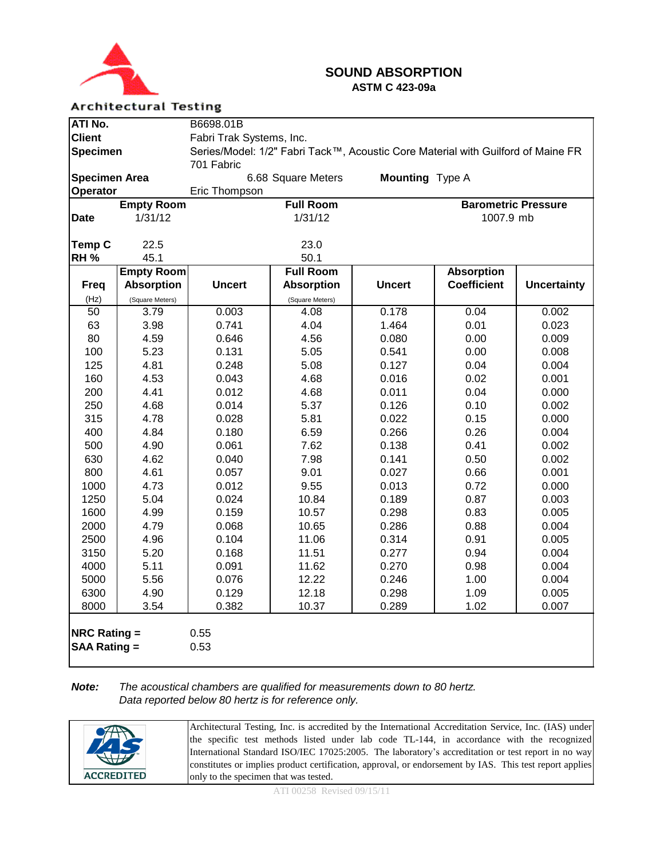

### **SOUND ABSORPTION ASTM C 423-09a**

### **Architectural Testing**

| ATI No.                                    |                   | B6698.01B                                                                        |                    |                        |                            |                    |  |  |
|--------------------------------------------|-------------------|----------------------------------------------------------------------------------|--------------------|------------------------|----------------------------|--------------------|--|--|
| <b>Client</b>                              |                   | Fabri Trak Systems, Inc.                                                         |                    |                        |                            |                    |  |  |
| <b>Specimen</b>                            |                   | Series/Model: 1/2" Fabri Tack™, Acoustic Core Material with Guilford of Maine FR |                    |                        |                            |                    |  |  |
|                                            |                   | 701 Fabric                                                                       |                    |                        |                            |                    |  |  |
| <b>Specimen Area</b>                       |                   |                                                                                  | 6.68 Square Meters | <b>Mounting</b> Type A |                            |                    |  |  |
| Operator                                   |                   | Eric Thompson                                                                    |                    |                        |                            |                    |  |  |
|                                            | <b>Empty Room</b> |                                                                                  | <b>Full Room</b>   |                        | <b>Barometric Pressure</b> |                    |  |  |
| <b>Date</b>                                | 1/31/12           |                                                                                  | 1/31/12            |                        | 1007.9 mb                  |                    |  |  |
|                                            |                   |                                                                                  |                    |                        |                            |                    |  |  |
| Temp C                                     | 22.5              |                                                                                  | 23.0               |                        |                            |                    |  |  |
| <b>RH %</b>                                | 45.1              |                                                                                  | 50.1               |                        |                            |                    |  |  |
|                                            | <b>Empty Room</b> |                                                                                  | <b>Full Room</b>   |                        | <b>Absorption</b>          |                    |  |  |
| <b>Freq</b>                                | <b>Absorption</b> | <b>Uncert</b>                                                                    | <b>Absorption</b>  | <b>Uncert</b>          | <b>Coefficient</b>         | <b>Uncertainty</b> |  |  |
| (Hz)                                       | (Square Meters)   |                                                                                  | (Square Meters)    |                        |                            |                    |  |  |
| $\overline{50}$                            | 3.79              | 0.003                                                                            | 4.08               | 0.178                  | 0.04                       | 0.002              |  |  |
| 63                                         | 3.98              | 0.741                                                                            | 4.04               | 1.464                  | 0.01                       | 0.023              |  |  |
| 80                                         | 4.59              | 0.646                                                                            | 4.56               | 0.080                  | 0.00                       | 0.009              |  |  |
| 100                                        | 5.23              | 0.131                                                                            | 5.05               | 0.541                  | 0.00                       | 0.008              |  |  |
| 125                                        | 4.81              | 0.248                                                                            | 5.08               | 0.127                  | 0.04                       | 0.004              |  |  |
| 160                                        | 4.53              | 0.043                                                                            | 4.68               | 0.016                  | 0.02                       | 0.001              |  |  |
| 200                                        | 4.41              | 0.012                                                                            | 4.68               | 0.011                  | 0.04                       | 0.000              |  |  |
| 250                                        | 4.68              | 0.014                                                                            | 5.37               | 0.126                  | 0.10                       | 0.002              |  |  |
| 315                                        | 4.78              | 0.028                                                                            | 5.81               | 0.022                  | 0.15                       | 0.000              |  |  |
| 400                                        | 4.84              | 0.180                                                                            | 6.59               | 0.266                  | 0.26                       | 0.004              |  |  |
| 500                                        | 4.90              | 0.061                                                                            | 7.62               | 0.138                  | 0.41                       | 0.002              |  |  |
| 630                                        | 4.62              | 0.040                                                                            | 7.98               | 0.141                  | 0.50                       | 0.002              |  |  |
| 800                                        | 4.61              | 0.057                                                                            | 9.01               | 0.027                  | 0.66                       | 0.001              |  |  |
| 1000                                       | 4.73              | 0.012                                                                            | 9.55               | 0.013                  | 0.72                       | 0.000              |  |  |
| 1250                                       | 5.04              | 0.024                                                                            | 10.84              | 0.189                  | 0.87                       | 0.003              |  |  |
| 1600                                       | 4.99              | 0.159                                                                            | 10.57              | 0.298                  | 0.83                       | 0.005              |  |  |
| 2000                                       | 4.79              | 0.068                                                                            | 10.65              | 0.286                  | 0.88                       | 0.004              |  |  |
| 2500                                       | 4.96              | 0.104                                                                            | 11.06              | 0.314                  | 0.91                       | 0.005              |  |  |
| 3150                                       | 5.20<br>5.11      | 0.168                                                                            | 11.51              | 0.277                  | 0.94                       | 0.004              |  |  |
| 4000<br>5000                               | 5.56              | 0.091<br>0.076                                                                   | 11.62<br>12.22     | 0.270                  | 0.98                       | 0.004<br>0.004     |  |  |
| 6300                                       | 4.90              | 0.129                                                                            | 12.18              | 0.246<br>0.298         | 1.00<br>1.09               | 0.005              |  |  |
| 8000                                       | 3.54              | 0.382                                                                            |                    |                        | 1.02                       |                    |  |  |
|                                            |                   |                                                                                  | 10.37              | 0.289                  |                            | 0.007              |  |  |
| <b>NRC Rating =</b><br><b>SAA Rating =</b> |                   | 0.55<br>0.53                                                                     |                    |                        |                            |                    |  |  |

### *Note: The acoustical chambers are qualified for measurements down to 80 hertz. Data reported below 80 hertz is for reference only.*

|                          | Architectural Testing, Inc. is accredited by the International Accreditation Service, Inc. (IAS) under  |
|--------------------------|---------------------------------------------------------------------------------------------------------|
| $\mathscr{F}$            | the specific test methods listed under lab code TL-144, in accordance with the recognized               |
|                          | International Standard ISO/IEC 17025:2005. The laboratory's accreditation or test report in no way      |
| $\overline{\mathcal{H}}$ | constitutes or implies product certification, approval, or endorsement by IAS. This test report applies |
| <b>ACCREDITED</b>        | only to the specimen that was tested.                                                                   |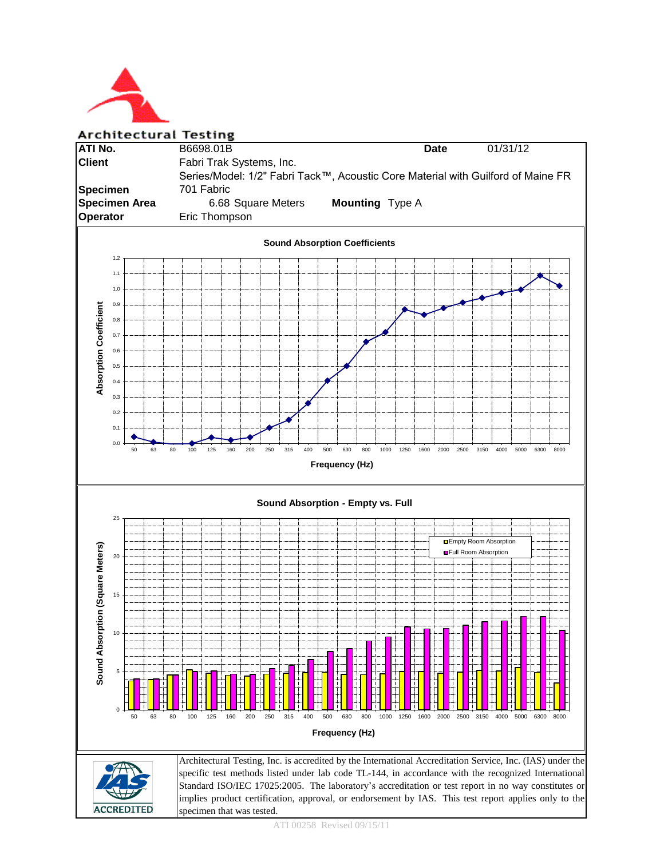

Architectural Testing